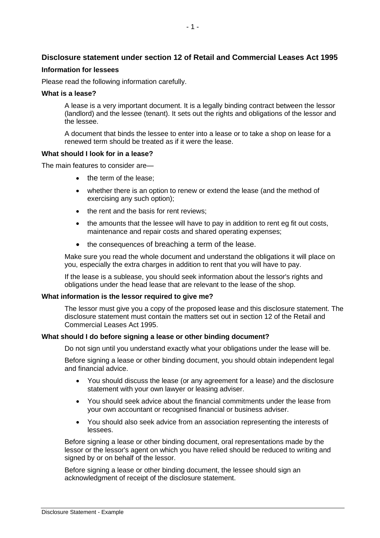## **Disclosure statement under section 12 of Retail and Commercial Leases Act 1995**

### **Information for lessees**

Please read the following information carefully.

#### **What is a lease?**

A lease is a very important document. It is a legally binding contract between the lessor (landlord) and the lessee (tenant). It sets out the rights and obligations of the lessor and the lessee.

A document that binds the lessee to enter into a lease or to take a shop on lease for a renewed term should be treated as if it were the lease.

### **What should I look for in a lease?**

The main features to consider are—

- the term of the lease:
- whether there is an option to renew or extend the lease (and the method of exercising any such option);
- the rent and the basis for rent reviews;
- the amounts that the lessee will have to pay in addition to rent eg fit out costs, maintenance and repair costs and shared operating expenses;
- the consequences of breaching a term of the lease.

Make sure you read the whole document and understand the obligations it will place on you, especially the extra charges in addition to rent that you will have to pay.

If the lease is a sublease, you should seek information about the lessor's rights and obligations under the head lease that are relevant to the lease of the shop.

#### **What information is the lessor required to give me?**

The lessor must give you a copy of the proposed lease and this disclosure statement. The disclosure statement must contain the matters set out in section 12 of the Retail and Commercial Leases Act 1995.

### **What should I do before signing a lease or other binding document?**

Do not sign until you understand exactly what your obligations under the lease will be.

Before signing a lease or other binding document, you should obtain independent legal and financial advice.

- You should discuss the lease (or any agreement for a lease) and the disclosure statement with your own lawyer or leasing adviser.
- You should seek advice about the financial commitments under the lease from your own accountant or recognised financial or business adviser.
- You should also seek advice from an association representing the interests of lessees.

Before signing a lease or other binding document, oral representations made by the lessor or the lessor's agent on which you have relied should be reduced to writing and signed by or on behalf of the lessor.

Before signing a lease or other binding document, the lessee should sign an acknowledgment of receipt of the disclosure statement.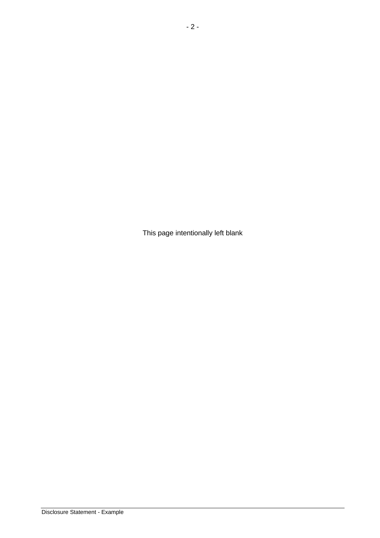This page intentionally left blank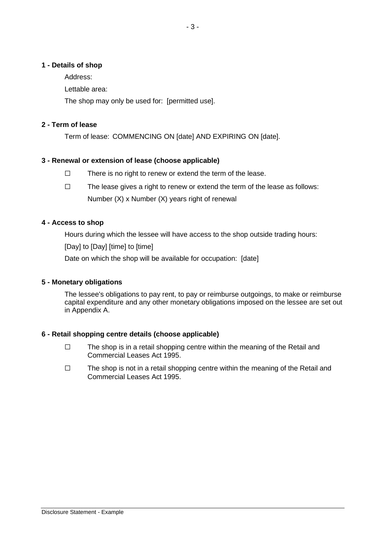### **1 - Details of shop**

Address:

Lettable area:

The shop may only be used for: [permitted use].

### **2 - Term of lease**

Term of lease: COMMENCING ON [date] AND EXPIRING ON [date].

### **3 - Renewal or extension of lease (choose applicable)**

- ☐ There is no right to renew or extend the term of the lease.
- ☐ The lease gives a right to renew or extend the term of the lease as follows: Number (X) x Number (X) years right of renewal

### **4 - Access to shop**

Hours during which the lessee will have access to the shop outside trading hours:

[Day] to [Day] [time] to [time]

Date on which the shop will be available for occupation: [date]

#### **5 - Monetary obligations**

The lessee's obligations to pay rent, to pay or reimburse outgoings, to make or reimburse capital expenditure and any other monetary obligations imposed on the lessee are set out in Appendix A.

#### **6 - Retail shopping centre details (choose applicable)**

- $\Box$  The shop is in a retail shopping centre within the meaning of the Retail and Commercial Leases Act 1995.
- ☐ The shop is not in a retail shopping centre within the meaning of the Retail and Commercial Leases Act 1995.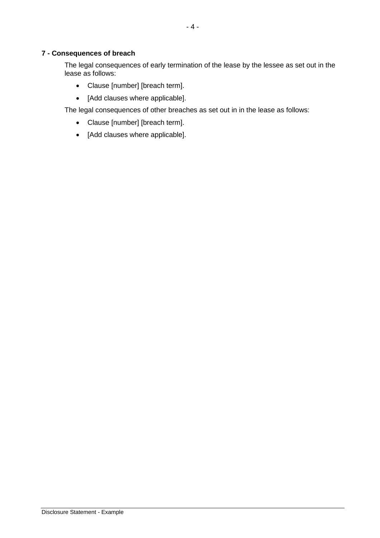### **7 - Consequences of breach**

The legal consequences of early termination of the lease by the lessee as set out in the lease as follows:

- Clause [number] [breach term].
- [Add clauses where applicable].

The legal consequences of other breaches as set out in in the lease as follows:

- Clause [number] [breach term].
- [Add clauses where applicable].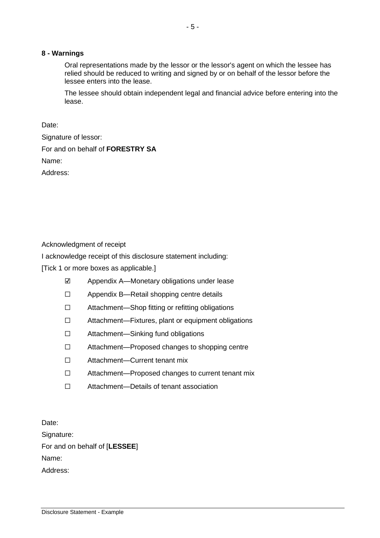## **8 - Warnings**

Oral representations made by the lessor or the lessor's agent on which the lessee has relied should be reduced to writing and signed by or on behalf of the lessor before the lessee enters into the lease.

The lessee should obtain independent legal and financial advice before entering into the lease.

Date:

Signature of lessor: For and on behalf of **FORESTRY SA** Name:

Address:

Acknowledgment of receipt

I acknowledge receipt of this disclosure statement including:

[Tick 1 or more boxes as applicable.]

- ☑ Appendix A—Monetary obligations under lease
- ☐ Appendix B—Retail shopping centre details
- ☐ Attachment—Shop fitting or refitting obligations
- ☐ Attachment—Fixtures, plant or equipment obligations
- ☐ Attachment—Sinking fund obligations
- ☐ Attachment—Proposed changes to shopping centre
- ☐ Attachment—Current tenant mix
- ☐ Attachment—Proposed changes to current tenant mix
- ☐ Attachment—Details of tenant association

Date: Signature: For and on behalf of [**LESSEE**] Name: Address: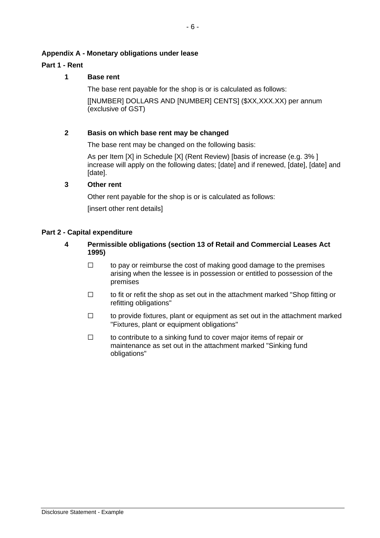# **Part 1 - Rent**

# **1 Base rent**

The base rent payable for the shop is or is calculated as follows:

[[NUMBER] DOLLARS AND [NUMBER] CENTS] (\$XX,XXX.XX) per annum (exclusive of GST)

# **2 Basis on which base rent may be changed**

The base rent may be changed on the following basis:

As per Item [X] in Schedule [X] (Rent Review) [basis of increase (e.g. 3% ] increase will apply on the following dates; [date] and if renewed, [date], [date] and [date].

# **3 Other rent**

Other rent payable for the shop is or is calculated as follows:

[insert other rent details]

## **Part 2 - Capital expenditure**

## **4 Permissible obligations (section 13 of Retail and Commercial Leases Act 1995)**

- $\Box$  to pay or reimburse the cost of making good damage to the premises arising when the lessee is in possession or entitled to possession of the premises
- ☐ to fit or refit the shop as set out in the attachment marked "Shop fitting or refitting obligations"
- ☐ to provide fixtures, plant or equipment as set out in the attachment marked "Fixtures, plant or equipment obligations"
- ☐ to contribute to a sinking fund to cover major items of repair or maintenance as set out in the attachment marked "Sinking fund obligations"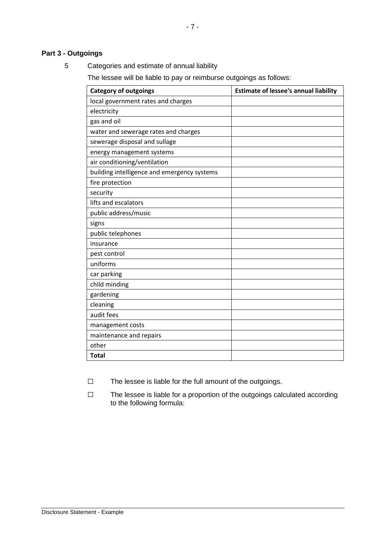## **Part 3 - Outgoings**

5 Categories and estimate of annual liability

The lessee will be liable to pay or reimburse outgoings as follows:

| <b>Category of outgoings</b>                | <b>Estimate of lessee's annual liability</b> |
|---------------------------------------------|----------------------------------------------|
| local government rates and charges          |                                              |
| electricity                                 |                                              |
| gas and oil                                 |                                              |
| water and sewerage rates and charges        |                                              |
| sewerage disposal and sullage               |                                              |
| energy management systems                   |                                              |
| air conditioning/ventilation                |                                              |
| building intelligence and emergency systems |                                              |
| fire protection                             |                                              |
| security                                    |                                              |
| lifts and escalators                        |                                              |
| public address/music                        |                                              |
| signs                                       |                                              |
| public telephones                           |                                              |
| insurance                                   |                                              |
| pest control                                |                                              |
| uniforms                                    |                                              |
| car parking                                 |                                              |
| child minding                               |                                              |
| gardening                                   |                                              |
| cleaning                                    |                                              |
| audit fees                                  |                                              |
| management costs                            |                                              |
| maintenance and repairs                     |                                              |
| other                                       |                                              |
| <b>Total</b>                                |                                              |

- ☐ The lessee is liable for the full amount of the outgoings.
- ☐ The lessee is liable for a proportion of the outgoings calculated according to the following formula: